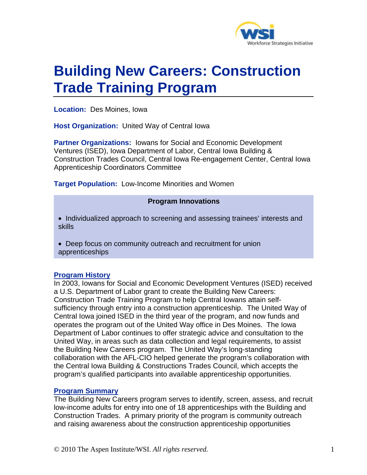

# **Building New Careers: Construction Trade Training Program**

**Location:** Des Moines, Iowa

**Host Organization:** United Way of Central Iowa

**Partner Organizations:** Iowans for Social and Economic Development Ventures (ISED), Iowa Department of Labor, Central Iowa Building & Construction Trades Council, Central Iowa Re-engagement Center, Central Iowa Apprenticeship Coordinators Committee

**Target Population:** Low-Income Minorities and Women

## **Program Innovations**

• Individualized approach to screening and assessing trainees' interests and skills

• Deep focus on community outreach and recruitment for union apprenticeships

## **Program History**

In 2003, Iowans for Social and Economic Development Ventures (ISED) received a U.S. Department of Labor grant to create the Building New Careers: Construction Trade Training Program to help Central Iowans attain selfsufficiency through entry into a construction apprenticeship. The United Way of Central Iowa joined ISED in the third year of the program, and now funds and operates the program out of the United Way office in Des Moines. The Iowa Department of Labor continues to offer strategic advice and consultation to the United Way, in areas such as data collection and legal requirements, to assist the Building New Careers program. The United Way's long-standing collaboration with the AFL-CIO helped generate the program's collaboration with the Central Iowa Building & Constructions Trades Council, which accepts the program's qualified participants into available apprenticeship opportunities.

## **Program Summary**

The Building New Careers program serves to identify, screen, assess, and recruit low-income adults for entry into one of 18 apprenticeships with the Building and Construction Trades. A primary priority of the program is community outreach and raising awareness about the construction apprenticeship opportunities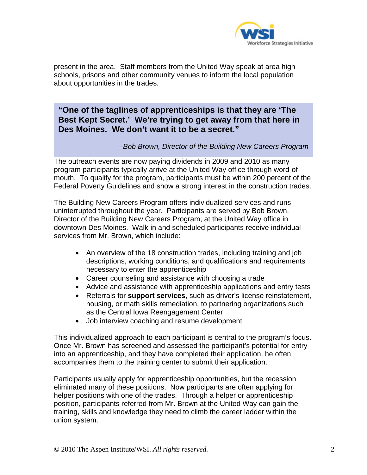

present in the area. Staff members from the United Way speak at area high schools, prisons and other community venues to inform the local population about opportunities in the trades.

# **"One of the taglines of apprenticeships is that they are 'The Best Kept Secret.' We're trying to get away from that here in Des Moines. We don't want it to be a secret."**

# *--Bob Brown, Director of the Building New Careers Program*

The outreach events are now paying dividends in 2009 and 2010 as many program participants typically arrive at the United Way office through word-ofmouth. To qualify for the program, participants must be within 200 percent of the Federal Poverty Guidelines and show a strong interest in the construction trades.

The Building New Careers Program offers individualized services and runs uninterrupted throughout the year. Participants are served by Bob Brown, Director of the Building New Careers Program, at the United Way office in downtown Des Moines. Walk-in and scheduled participants receive individual services from Mr. Brown, which include:

- An overview of the 18 construction trades, including training and job descriptions, working conditions, and qualifications and requirements necessary to enter the apprenticeship
- Career counseling and assistance with choosing a trade
- Advice and assistance with apprenticeship applications and entry tests
- Referrals for **support services**, such as driver's license reinstatement, housing, or math skills remediation, to partnering organizations such as the Central Iowa Reengagement Center
- Job interview coaching and resume development

This individualized approach to each participant is central to the program's focus. Once Mr. Brown has screened and assessed the participant's potential for entry into an apprenticeship, and they have completed their application, he often accompanies them to the training center to submit their application.

Participants usually apply for apprenticeship opportunities, but the recession eliminated many of these positions. Now participants are often applying for helper positions with one of the trades. Through a helper or apprenticeship position, participants referred from Mr. Brown at the United Way can gain the training, skills and knowledge they need to climb the career ladder within the union system.